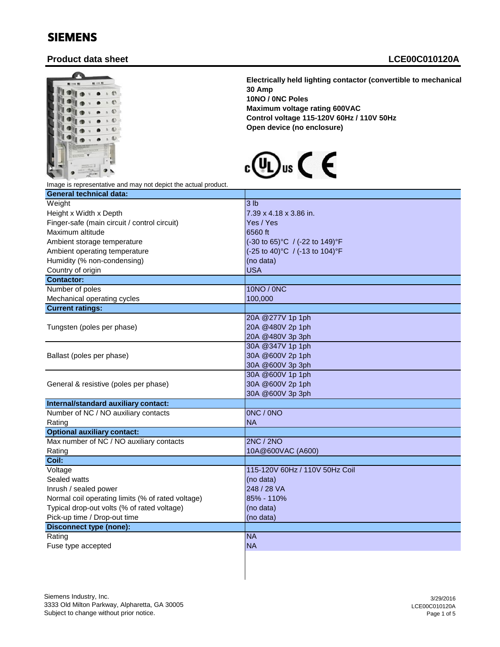## SIEMENS

## **Product data sheet LCE00C010120A**



**Electrically held lighting contactor (convertible to mechanically held) 30 Amp 10NO / 0NC Poles Maximum voltage rating 600VAC Control voltage 115-120V 60Hz / 110V 50Hz Open device (no enclosure)**



Image is representative and may not depict the actual product.

| <b>General technical data:</b>                    |                                                        |
|---------------------------------------------------|--------------------------------------------------------|
| Weight                                            | 3 <sub>lb</sub>                                        |
| Height x Width x Depth                            | 7.39 x 4.18 x 3.86 in.                                 |
| Finger-safe (main circuit / control circuit)      | Yes / Yes                                              |
| Maximum altitude                                  | 6560 ft                                                |
| Ambient storage temperature                       | $(-30 \text{ to } 65)$ °C / $(-22 \text{ to } 149)$ °F |
| Ambient operating temperature                     | (-25 to 40)°C / (-13 to 104)°F                         |
| Humidity (% non-condensing)                       | (no data)                                              |
| Country of origin                                 | <b>USA</b>                                             |
| <b>Contactor:</b>                                 |                                                        |
| Number of poles                                   | 10NO / 0NC                                             |
| Mechanical operating cycles                       | 100,000                                                |
| <b>Current ratings:</b>                           |                                                        |
|                                                   | 20A @277V 1p 1ph                                       |
| Tungsten (poles per phase)                        | 20A @480V 2p 1ph                                       |
|                                                   | 20A @480V 3p 3ph                                       |
|                                                   | 30A @347V 1p 1ph                                       |
| Ballast (poles per phase)                         | 30A @600V 2p 1ph                                       |
|                                                   | 30A @600V 3p 3ph                                       |
|                                                   | 30A @600V 1p 1ph                                       |
| General & resistive (poles per phase)             | 30A @600V 2p 1ph                                       |
|                                                   | 30A @600V 3p 3ph                                       |
| Internal/standard auxiliary contact:              |                                                        |
| Number of NC / NO auxiliary contacts              | ONC / ONO                                              |
| Rating                                            | <b>NA</b>                                              |
| <b>Optional auxiliary contact:</b>                |                                                        |
| Max number of NC / NO auxiliary contacts          | 2NC/2NO                                                |
| Rating                                            | 10A@600VAC (A600)                                      |
| Coil:                                             |                                                        |
| Voltage                                           | 115-120V 60Hz / 110V 50Hz Coil                         |
| Sealed watts                                      | (no data)                                              |
| Inrush / sealed power                             | 248 / 28 VA                                            |
| Normal coil operating limits (% of rated voltage) | 85% - 110%                                             |
| Typical drop-out volts (% of rated voltage)       | (no data)                                              |
| Pick-up time / Drop-out time                      | (no data)                                              |
| <b>Disconnect type (none):</b>                    |                                                        |
| Rating                                            | <b>NA</b>                                              |
| Fuse type accepted                                | <b>NA</b>                                              |
|                                                   |                                                        |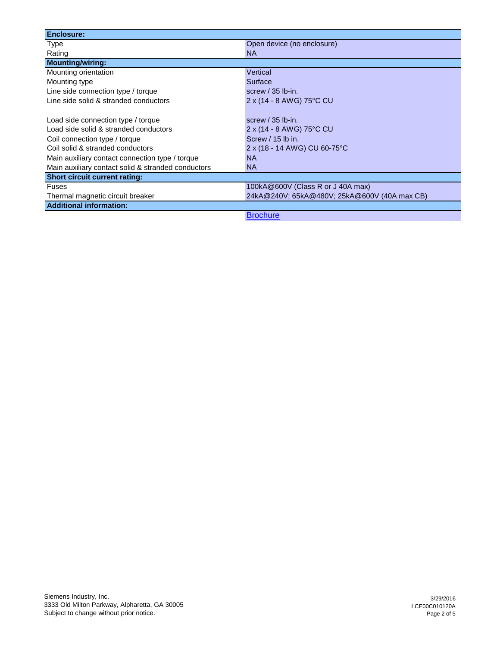| <b>Enclosure:</b>                                  |                                              |
|----------------------------------------------------|----------------------------------------------|
| <b>Type</b>                                        | Open device (no enclosure)                   |
| Rating                                             | <b>NA</b>                                    |
| <b>Mounting/wiring:</b>                            |                                              |
| Mounting orientation                               | Vertical                                     |
| Mounting type                                      | Surface                                      |
| Line side connection type / torque                 | screw $/$ 35 lb-in.                          |
| Line side solid & stranded conductors              | 2 x (14 - 8 AWG) 75°C CU                     |
|                                                    |                                              |
| Load side connection type / torque                 | screw $/$ 35 lb-in.                          |
| Load side solid & stranded conductors              | 2 x (14 - 8 AWG) 75°C CU                     |
| Coil connection type / torque                      | Screw / 15 lb in.                            |
| Coil solid & stranded conductors                   | 2 x (18 - 14 AWG) CU 60-75°C                 |
| Main auxiliary contact connection type / torque    | <b>NA</b>                                    |
| Main auxiliary contact solid & stranded conductors | <b>NA</b>                                    |
| <b>Short circuit current rating:</b>               |                                              |
| <b>Fuses</b>                                       | 100kA@600V (Class R or J 40A max)            |
| Thermal magnetic circuit breaker                   | 24kA@240V; 65kA@480V; 25kA@600V (40A max CB) |
| <b>Additional information:</b>                     |                                              |
|                                                    | <b>Brochure</b>                              |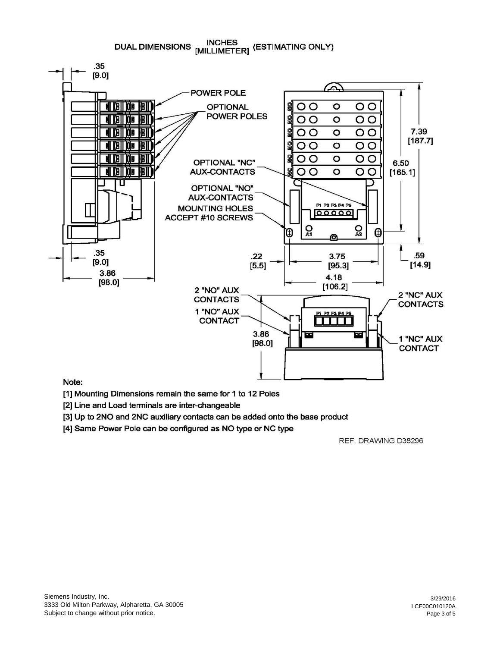**INCHES** DUAL DIMENSIONS MILLIMETER] (ESTIMATING ONLY)



## Note:

[1] Mounting Dimensions remain the same for 1 to 12 Poles

[2] Line and Load terminals are inter-changeable

[3] Up to 2NO and 2NC auxiliary contacts can be added onto the base product

[4] Same Power Pole can be configured as NO type or NC type

REF. DRAWING D38296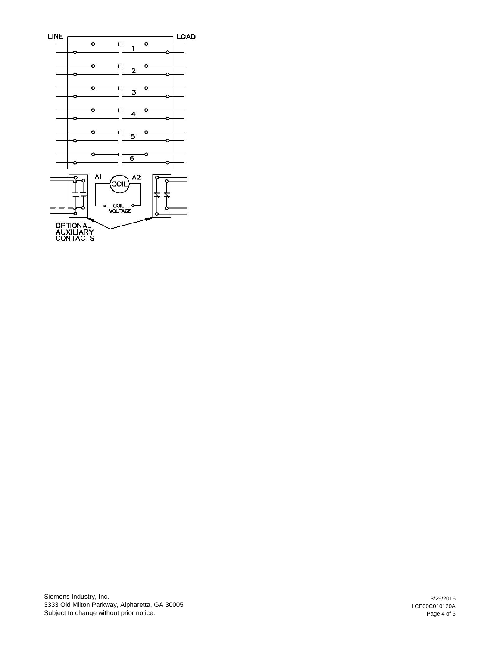